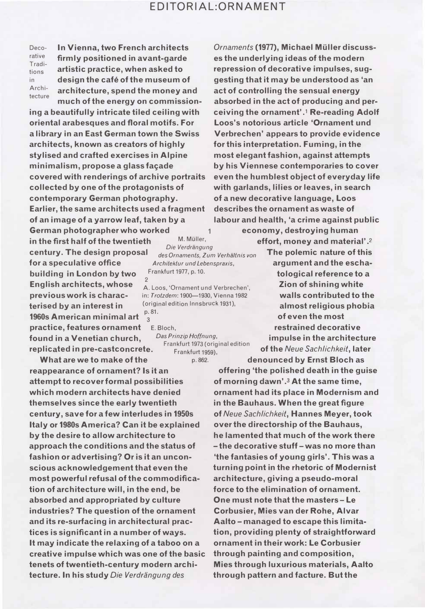## EDITORIAL:ORNAMENT

 $\overline{1}$ 

Decorative Traditions in

In Vienna, two French architects firmly positioned in avant-garde artistic practice, when asked to design the café of the museum of Archi- architecture, spend the money and much of the energy on commission-

ing a beautifully intricate tiled ceiling with oriental arabesques and floral motifs. For a library in an East German town the Swiss architects, known as creators of highly stylised and crafted exercises in Alpine minimalism, propose a glass facade covered with renderings of archive portraits collected by one of the protagonists of contemporary German photography. Earlier, the same architects used a fragment of an image of a yarrow leaf, taken by a German photographer who worked in the first half of the twentieth  $M.$  Miller,<br>Die Verdrängung century. The design proposal  $d$ es Ornaments, Zum Verhältnis von for a speculative office Architektur und Lebenspraxis, building in London by two Frankfurt 1977, p. 10. English architects, whose A. Loos, 'Ornament und Verbrechen', previous work is charac- in: Trotzdem: 1900-1930, Vienna 1982 terised by an interest in (original edition lnnsbruck 1931), 1960s American minimal art  $\frac{p.81}{3}$ practice, features ornament E. Bloch, **found in a Venetian church,** Das Prinzip Hoffnung,<br>Frankfurt 1973 (original edition replicated in pre-castconcrete. Frankfurt 1975 (original

What are we to make of the p. 862. reappearance of ornament? Is it an attempt to recover formal possibilities which modern architects have denied themselves since the early twentieth century, save for a few interludes in 1950s Italy or 1980s America? Can it be explained by the desire to allow architecture to approach the conditions and the status of fashion or advertising? Or is it an uncon- 'the fantasies of young girls'. This was a scious acknowledgement that even the turning point in the rhetoric of Modernist most powerful refusal of the commodifica- architecture, giving a pseudo-moral tion of architecture will, in the end, be force to the elimination of ornament. absorbed and appropriated by culture One must note that the masters- Le industries? The question of the ornament Corbusier, Mies van der Rohe, Alvar and its re-surfacing in architectural prac- Aalto-managed to escape this limitatices is significant in a number of ways. tion, providing plenty of straightforward It may indicate the relaxing of a taboo on a ornament in their work: Le Corbusier creative impulse which was one of the basic through painting and composition, tenets of twentieth-century modern arc hi- Mies through luxurious materials, Aalto **tecture. In his study Die Verdrängung des** through pattern and facture. But the

Ornaments (1977), Michael Müller discusses the underlying ideas of the modern repression of decorative impulses, suggesting that it may be understood as 'an act of controlling the sensual energy absorbed in the act of producing and perceiving the ornament' .1 Re-reading Adolf Loos's notorious article 'Ornament und Verbrechen' appears to provide evidence for this interpretation. Fuming, in the most elegant fashion, against attempts by his Viennese contemporaries to cover even the humblest object of everyday life with garlands, lilies or leaves, in search of a new decorative language, Loos describes the ornament as waste of labour and health, 'a crime against public

economy, destroying human effort, money and material' .2

The polemic nature of this argument and the eschatological reference to a Zion of shining white walls contributed to the almost religious phobia of even the most restrained decorative impulse in the architecture of the Neue Sachlichkeit, later denounced by Ernst Bloch as

offering 'the polished death in the guise of morning dawn'.<sup>3</sup> At the same time, ornament had its place in Modernism and in the Bauhaus. When the great figure of Neue Sachlichkeit, Hannes Meyer, took over the directorship of the Bauhaus, he lamented that much of the work there -the decorative stuff- was no more than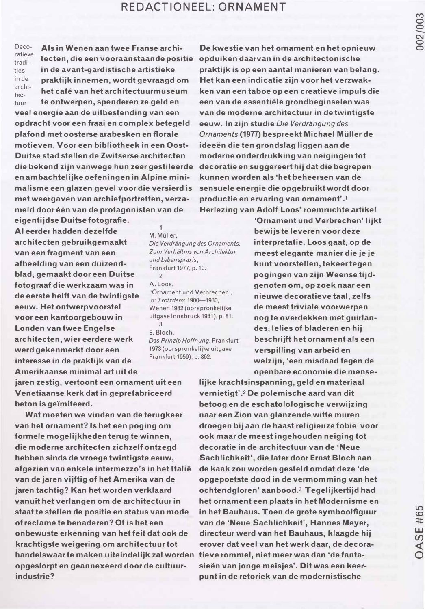## REDACTIONEEL: ORNAMENT

ratieve tradities in de arc hiteetuur

Deco- Als in Wenen aan twee Franse archi- De kwestie van het ornament en het opnieuw praktijk innemen, wordt gevraagd om het cafe van het architectuurmuseum te ontwerpen, spenderen ze geld en veel energie aan de uitbestending van een opdracht voor een fraai en complex betegeld plafond met oosterse arabesken en florale motieven. Voor een bibliotheek in een Oost-Duitse stad stellen de Zwitserse architecten die bekend zijn vanwege hun zeer gestileerde decoratie en suggereert hij dat die begrepen en ambachtelijke oefeningen in Alpine mini- kunnen worden als 'het beheersen van de malisme een glazen gevel voor die versierd is sensuele energie die opgebruikt wordt door met weergaven van archiefportretten, verzameld door één van de protagonisten van de

eigentijdse Duitse fotografie. AI eerder hadden dezelfde M. Müller, architecten gebruikgemaakt van een fragment van een afbeelding van een duizendblad, gemaakt door een Duitse fotograaf die werkzaam was in de eerste helft van de twintigste eeuw. Het ontwerpvoorstel voor een kantoorgebouw in Londen van twee Engelse architecten, wier eerdere werk werd gekenmerkt door een interesse in de praktijk van de Amerikaanse minimal art uit de

Die Verdrängung des Ornaments, Zum Verhältnis von Architektur und Lebenspraxis, Frankfurt 1977, p. 10.

2 A. Loos,

'Ornament und Verbrechen', in: Trotzdem: 1900-1930, Wenen 1982 (oorspronkelijke uitgave lnnsbruck 1931), p. 81. 3

Das Prinzip Hoffnung, Frankfurt 1973 (oorspronkelijke uitgave Frankfurt 1959), p. 862.

tecten, die een vooraanstaande positie opduiken daarvan in de architectonische in de avant-gardistische artistieke praktijk is op een aantal manieren van belang. Het kan een indicatie zijn voor het verzwakken van een taboe op een creatieve impuls die een van de essentiële grondbeginselen was van de moderne architectuur in de twintigste eeuw. In zijn studie Die Verdrängung des Ornaments (1977) bespreekt Michael Müller de ideeën die ten grondslag liggen aan de moderne onderdrukking van neigingen tot productie en ervaring van ornament' .1 Herlezing van Adolf Loos' roemruchte artikel

> 'Ornament und Verbrechen' lijkt bewijs te leveren voor deze interpretatie. Loos gaat, op de meest elegante manier die je je kunt voorstellen, tekeer tegen pogingen van zijn Weense tijdgenoten om, op zoek naar een nieuwe decoratieve taal, zelfs de meest triviale voorwerpen nog te overdekken met guirlandes, lelies of bladeren en hij beschrijft het ornament als een verspilling van arbeid en welzijn, 'een misdaad tegen de open bare economie die mense-

jaren zestig, vertoont een ornament uit een Venetiaanse kerk dat in geprefabriceerd beton is geïmiteerd.

Wat moeten we vinden van de terugkeer van het ornament? Is het een poging om formele mogelijkheden terug te winnen, die moderne architecten zichzelf ontzegd hebben sinds de vroege twintigste eeuw, afgezien van enkele intermezzo's in het ltalie van de jaren vijftig of het Amerika van de jaren tachtig? Kan het worden verklaard staat te stellen de positie en status van mode in het Bauhaus. Toen de grote symboolfiguur of reclame te benaderen? Of is het een van de 'Neue Sachlichkeit', Hannes Meyer, onbewuste erkenning van het feit dat ook de directeur werd van het Bauhaus, klaagde hij krachtigste weigering om architectuur tot erover dat veel van het werk daar, de decorahandelswaar te maken uiteindelijk zal worden tieve rom mel, niet meer was dan 'de fantaopgeslorpt en geannexeerd door de cultuur- sieen van jonge meisjes'. Dit was een keerindustrie? punt in de retoriek van de modernistische

lijke krachtsinspanning, geld en materiaal vernietigt' .2 De polemische aard van dit betoog en de eschatolologische verwijzing naar een Zion van glanzende witte muren droegen bij aan de haast religieuze fobie voor ook maar de meest ingehouden neiging tot decoratie in de architectuur van de 'Neue Sachlichkeit', die later door Ernst Bloch aan de kaak zou worden gesteld omdat deze 'de opgepoetste dood in de vermomming van het ochtendgloren' aanbood.3 Tegelijkertijd had vanuit het verlangen om de architectuur in het ornament een plaats in het Modernisme en

E. Bloch,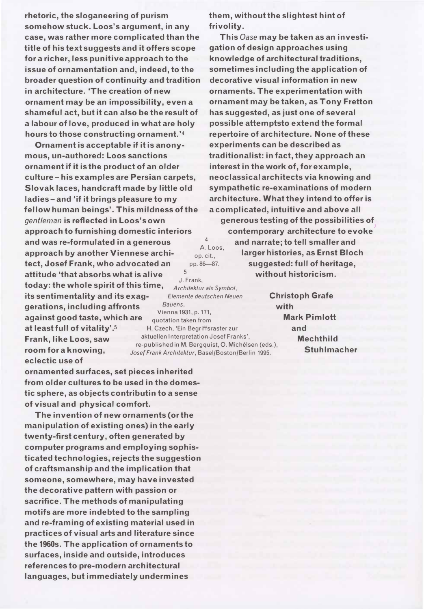rhetoric, the sloganeering of purism somehow stuck. Loos's argument, in any case, was rather more complicated than the title of his text suggests and it offers scope for a richer, less punitive approach to the issue of ornamentation and, indeed, to the broader question of continuity and tradition in architecture. 'The creation of new ornament may be an impossibility, even a shameful act, but it can also be the result of a labour of love, produced in what are holy hours to those constructing ornament.'4

Ornament is acceptable if it is anonymous, un-authored: Loos sanctions ornament if it is the product of an older culture- his examples are Persian carpets, Slovak laces, handcraft made by little old ladies- and 'if it brings pleasure to my fellow human beings'. This mildness of the gentleman is reflected in Loos's own approach to furnishing domestic interiors and was re-formulated in a generous approach by another Viennese architect, Josef Frank, who advocated an attitude 'that absorbs what is alive 5  $\frac{1}{2}$ . Frank, today: the whole spirit of this time,  $\frac{1}{2}$ . Frank, Architektur als Symbol, its sentimentality and its exag-<br>Elemente deutschen Neuen gerations, including affronts against good taste, which are Bauens, Vienna 1931, p.171, quotation taken from at least full of vitality'.s H. Czech, 'Ein Begriffsraster zur Frank, like Loos, saw room for a knowing, eclectic use of aktuellen Interpretation Josef Franks', re-published in M. Bergquist, 0. Michelsen (eds.), Josef Frank Architektur, Basel/Boston/Berlin 1995.

4

ornamented surfaces, set pieces inherited from older cultures to be used in the domestic sphere, as objects contributin to a sense of visual and physical comfort.

The invention of new ornaments (or the manipulation of existing ones) in the early twenty-first century, often generated by computer programs and employing sophisticated technologies, rejects the suggestion of craftsmanship and the implication that someone, somewhere, may have invested the decorative pattern with passion or sacrifice. The methods of manipulating motifs are more indebted to the sampling and re-framing of existing material used in practices of visual arts and literature since the 1960s. The application of ornaments to surfaces, inside and outside, introduces references to pre-modern architectural languages, but immediately undermines

them, without the slightest hint of frivolity.

This Oase may be taken as an investigation of design approaches using knowledge of architectural traditions, sometimes including the application of decorative visual information in new ornaments. The experimentation with ornament may be taken, as Tony Fretton has suggested, as just one of several possible attemptsto extend the formal repertoire of architecture. None of these experiments can be described as traditionalist: in fact, they approach an interest in the work of, for example, neoclassical architects via knowing and sympathetic re-examinations of modern architecture. What they intend to offer is a complicated, intuitive and above all generous testing of the possibilities of contemporary architecture to evoke A. Loos, and narrate; to tell smaller and larger histories, as Ernst Bloch suggested: full of heritage, op. cit., pp. 86-87. without historicism.

> Christoph Grafe with Mark Pimlott and **Mechthild** Stuhlmacher